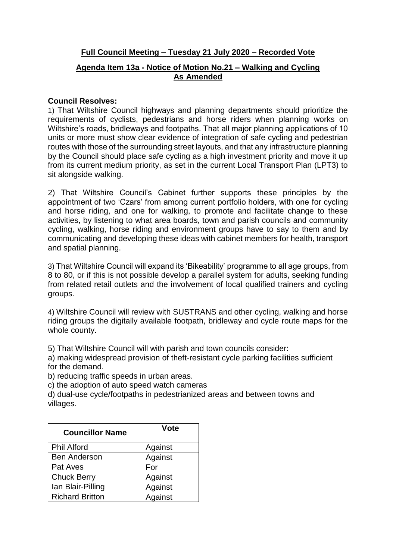## **Full Council Meeting – Tuesday 21 July 2020 – Recorded Vote**

## **Agenda Item 13a - Notice of Motion No.21 – Walking and Cycling As Amended**

## **Council Resolves:**

1) That Wiltshire Council highways and planning departments should prioritize the requirements of cyclists, pedestrians and horse riders when planning works on Wiltshire's roads, bridleways and footpaths. That all major planning applications of 10 units or more must show clear evidence of integration of safe cycling and pedestrian routes with those of the surrounding street layouts, and that any infrastructure planning by the Council should place safe cycling as a high investment priority and move it up from its current medium priority, as set in the current Local Transport Plan (LPT3) to sit alongside walking.

2) That Wiltshire Council's Cabinet further supports these principles by the appointment of two 'Czars' from among current portfolio holders, with one for cycling and horse riding, and one for walking, to promote and facilitate change to these activities, by listening to what area boards, town and parish councils and community cycling, walking, horse riding and environment groups have to say to them and by communicating and developing these ideas with cabinet members for health, transport and spatial planning.

3) That Wiltshire Council will expand its 'Bikeability' programme to all age groups, from 8 to 80, or if this is not possible develop a parallel system for adults, seeking funding from related retail outlets and the involvement of local qualified trainers and cycling groups.

4) Wiltshire Council will review with SUSTRANS and other cycling, walking and horse riding groups the digitally available footpath, bridleway and cycle route maps for the whole county.

5) That Wiltshire Council will with parish and town councils consider:

a) making widespread provision of theft-resistant cycle parking facilities sufficient for the demand.

b) reducing traffic speeds in urban areas.

c) the adoption of auto speed watch cameras

d) dual-use cycle/footpaths in pedestrianized areas and between towns and villages.

| <b>Councillor Name</b> | <b>Vote</b> |
|------------------------|-------------|
| <b>Phil Alford</b>     | Against     |
| <b>Ben Anderson</b>    | Against     |
| Pat Aves               | For         |
| <b>Chuck Berry</b>     | Against     |
| Ian Blair-Pilling      | Against     |
| <b>Richard Britton</b> | Against     |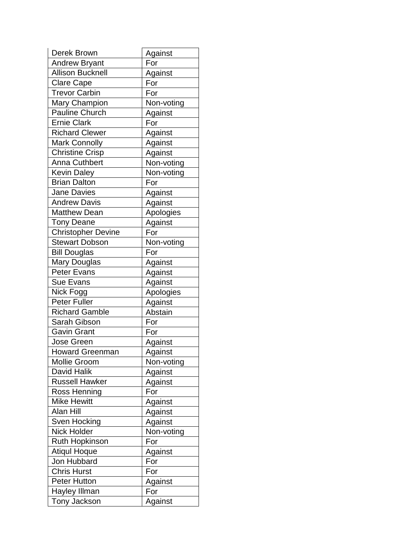| Derek Brown               | Against    |
|---------------------------|------------|
| <b>Andrew Bryant</b>      | For        |
| <b>Allison Bucknell</b>   | Against    |
| <b>Clare Cape</b>         | For        |
| <b>Trevor Carbin</b>      | For        |
| Mary Champion             | Non-voting |
| <b>Pauline Church</b>     | Against    |
| <b>Ernie Clark</b>        | For        |
| <b>Richard Clewer</b>     | Against    |
| <b>Mark Connolly</b>      | Against    |
| <b>Christine Crisp</b>    | Against    |
| <b>Anna Cuthbert</b>      | Non-voting |
| <b>Kevin Daley</b>        | Non-voting |
| <b>Brian Dalton</b>       | For        |
| <b>Jane Davies</b>        | Against    |
| <b>Andrew Davis</b>       | Against    |
| <b>Matthew Dean</b>       | Apologies  |
| <b>Tony Deane</b>         | Against    |
| <b>Christopher Devine</b> | For        |
| <b>Stewart Dobson</b>     | Non-voting |
| <b>Bill Douglas</b>       | For        |
| <b>Mary Douglas</b>       | Against    |
| Peter Evans               | Against    |
| Sue Evans                 | Against    |
| Nick Fogg                 | Apologies  |
| <b>Peter Fuller</b>       | Against    |
| <b>Richard Gamble</b>     | Abstain    |
| Sarah Gibson              | For        |
| <b>Gavin Grant</b>        | For        |
| <b>Jose Green</b>         | Against    |
| <b>Howard Greenman</b>    | Against    |
| <b>Mollie Groom</b>       | Non-voting |
| David Halik               | Against    |
| <b>Russell Hawker</b>     | Against    |
| Ross Henning              | For        |
| <b>Mike Hewitt</b>        | Against    |
| Alan Hill                 | Against    |
| Sven Hocking              | Against    |
| <b>Nick Holder</b>        | Non-voting |
| <b>Ruth Hopkinson</b>     | For        |
| <b>Atiqul Hoque</b>       | Against    |
| Jon Hubbard               | For        |
| <b>Chris Hurst</b>        | For        |
| <b>Peter Hutton</b>       | Against    |
| Hayley Illman             | For        |
| Tony Jackson              | Against    |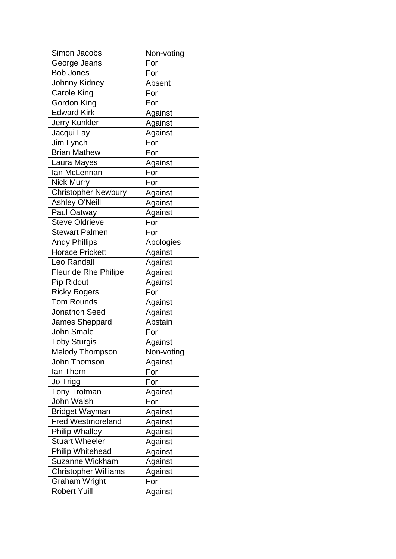| Simon Jacobs                | Non-voting |
|-----------------------------|------------|
| George Jeans                | For        |
| <b>Bob Jones</b>            | For        |
| Johnny Kidney               | Absent     |
| <b>Carole King</b>          | For        |
| <b>Gordon King</b>          | For        |
| <b>Edward Kirk</b>          | Against    |
| <b>Jerry Kunkler</b>        | Against    |
| Jacqui Lay                  | Against    |
| Jim Lynch                   | For        |
| <b>Brian Mathew</b>         | For        |
| Laura Mayes                 | Against    |
| Ian McLennan                | For        |
| <b>Nick Murry</b>           | For        |
| <b>Christopher Newbury</b>  | Against    |
| <b>Ashley O'Neill</b>       | Against    |
| Paul Oatway                 | Against    |
| <b>Steve Oldrieve</b>       | For        |
| <b>Stewart Palmen</b>       | For        |
| <b>Andy Phillips</b>        | Apologies  |
| <b>Horace Prickett</b>      | Against    |
| Leo Randall                 | Against    |
| Fleur de Rhe Philipe        | Against    |
| Pip Ridout                  | Against    |
| <b>Ricky Rogers</b>         | For        |
| <b>Tom Rounds</b>           | Against    |
| Jonathon Seed               | Against    |
| James Sheppard              | Abstain    |
| John Smale                  | For        |
| <b>Toby Sturgis</b>         | Against    |
| <b>Melody Thompson</b>      | Non-voting |
| John Thomson                | Against    |
| lan Thorn                   | For        |
| Jo Trigg                    | For        |
| Tony Trotman                | Against    |
| John Walsh                  | For        |
| <b>Bridget Wayman</b>       | Against    |
| <b>Fred Westmoreland</b>    | Against    |
| <b>Philip Whalley</b>       | Against    |
| <b>Stuart Wheeler</b>       | Against    |
| <b>Philip Whitehead</b>     | Against    |
| <b>Suzanne Wickham</b>      | Against    |
| <b>Christopher Williams</b> | Against    |
| <b>Graham Wright</b>        | For        |
| <b>Robert Yuill</b>         | Against    |